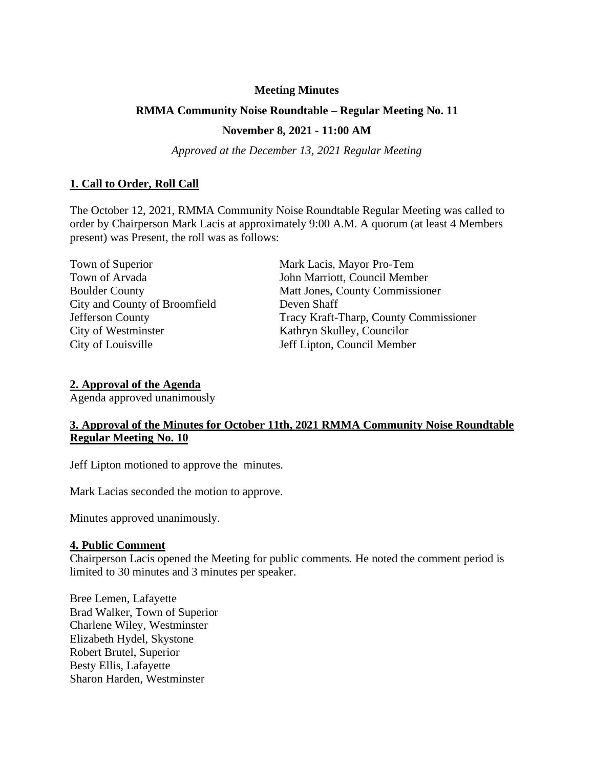### **Meeting Minutes**

#### **RMMA Community Noise Roundtable – Regular Meeting No. 11**

### **November 8, 2021 - 11:00 AM**

*Approved at the December 13, 2021 Regular Meeting*

### **1. Call to Order, Roll Call**

The October 12, 2021, RMMA Community Noise Roundtable Regular Meeting was called to order by Chairperson Mark Lacis at approximately 9:00 A.M. A quorum (at least 4 Members present) was Present, the roll was as follows:

Town of Superior Mark Lacis, Mayor Pro-Tem City and County of Broomfield Deven Shaff City of Westminster Kathryn Skulley, Councilor City of Louisville **Jeff Lipton, Council Member** 

Town of Arvada John Marriott, Council Member Boulder County Matt Jones, County Commissioner Jefferson County Tracy Kraft-Tharp, County Commissioner

#### **2. Approval of the Agenda**

Agenda approved unanimously

## **3. Approval of the Minutes for October 11th, 2021 RMMA Community Noise Roundtable Regular Meeting No. 10**

Jeff Lipton motioned to approve the minutes.

Mark Lacias seconded the motion to approve.

Minutes approved unanimously.

#### **4. Public Comment**

Chairperson Lacis opened the Meeting for public comments. He noted the comment period is limited to 30 minutes and 3 minutes per speaker.

Bree Lemen, Lafayette Brad Walker, Town of Superior Charlene Wiley, Westminster Elizabeth Hydel, Skystone Robert Brutel, Superior Besty Ellis, Lafayette Sharon Harden, Westminster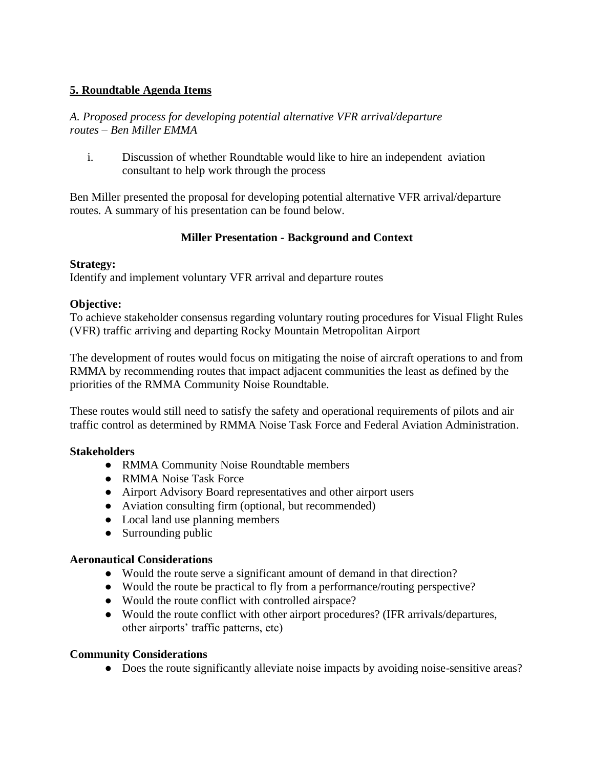# **5. Roundtable Agenda Items**

*A. Proposed process for developing potential alternative VFR arrival/departure routes – Ben Miller EMMA*

i. Discussion of whether Roundtable would like to hire an independent aviation consultant to help work through the process

Ben Miller presented the proposal for developing potential alternative VFR arrival/departure routes. A summary of his presentation can be found below.

## **Miller Presentation - Background and Context**

#### **Strategy:**

Identify and implement voluntary VFR arrival and departure routes

#### **Objective:**

To achieve stakeholder consensus regarding voluntary routing procedures for Visual Flight Rules (VFR) traffic arriving and departing Rocky Mountain Metropolitan Airport

The development of routes would focus on mitigating the noise of aircraft operations to and from RMMA by recommending routes that impact adjacent communities the least as defined by the priorities of the RMMA Community Noise Roundtable.

These routes would still need to satisfy the safety and operational requirements of pilots and air traffic control as determined by RMMA Noise Task Force and Federal Aviation Administration.

#### **Stakeholders**

- RMMA Community Noise Roundtable members
- RMMA Noise Task Force
- Airport Advisory Board representatives and other airport users
- Aviation consulting firm (optional, but recommended)
- Local land use planning members
- Surrounding public

## **Aeronautical Considerations**

- Would the route serve a significant amount of demand in that direction?
- Would the route be practical to fly from a performance/routing perspective?
- Would the route conflict with controlled airspace?
- Would the route conflict with other airport procedures? (IFR arrivals/departures, other airports' traffic patterns, etc)

## **Community Considerations**

● Does the route significantly alleviate noise impacts by avoiding noise-sensitive areas?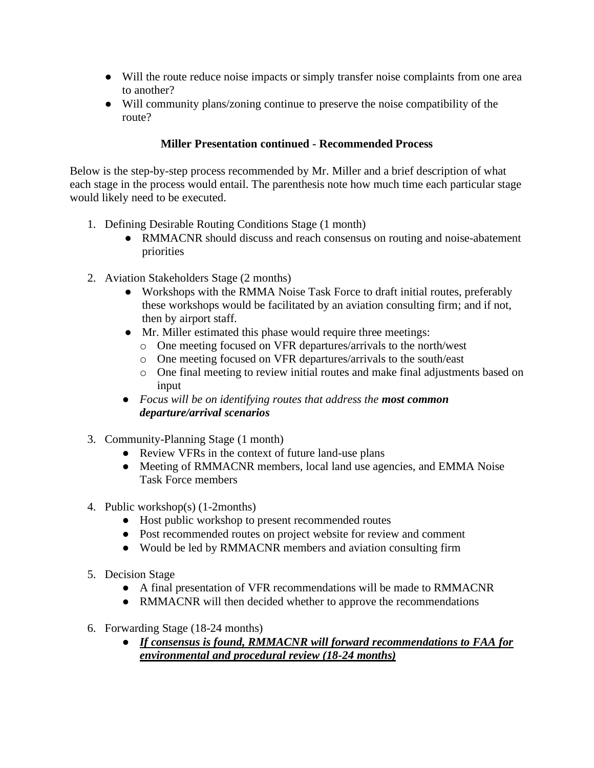- Will the route reduce noise impacts or simply transfer noise complaints from one area to another?
- Will community plans/zoning continue to preserve the noise compatibility of the route?

# **Miller Presentation continued - Recommended Process**

Below is the step-by-step process recommended by Mr. Miller and a brief description of what each stage in the process would entail. The parenthesis note how much time each particular stage would likely need to be executed.

- 1. Defining Desirable Routing Conditions Stage (1 month)
	- RMMACNR should discuss and reach consensus on routing and noise-abatement priorities
- 2. Aviation Stakeholders Stage (2 months)
	- Workshops with the RMMA Noise Task Force to draft initial routes, preferably these workshops would be facilitated by an aviation consulting firm; and if not, then by airport staff.
	- Mr. Miller estimated this phase would require three meetings:
		- o One meeting focused on VFR departures/arrivals to the north/west
		- o One meeting focused on VFR departures/arrivals to the south/east
		- o One final meeting to review initial routes and make final adjustments based on input
	- *Focus will be on identifying routes that address the most common departure/arrival scenarios*
- 3. Community-Planning Stage (1 month)
	- Review VFRs in the context of future land-use plans
	- Meeting of RMMACNR members, local land use agencies, and EMMA Noise Task Force members
- 4. Public workshop(s) (1-2months)
	- Host public workshop to present recommended routes
	- Post recommended routes on project website for review and comment
	- Would be led by RMMACNR members and aviation consulting firm
- 5. Decision Stage
	- A final presentation of VFR recommendations will be made to RMMACNR
	- RMMACNR will then decided whether to approve the recommendations
- 6. Forwarding Stage (18-24 months)
	- *If consensus is found, RMMACNR will forward recommendations to FAA for environmental and procedural review (18-24 months)*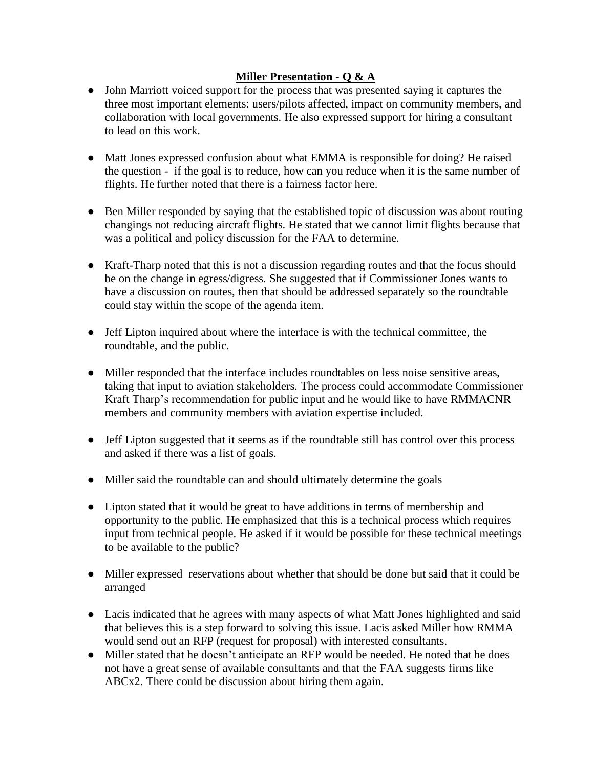# **Miller Presentation - Q & A**

- John Marriott voiced support for the process that was presented saying it captures the three most important elements: users/pilots affected, impact on community members, and collaboration with local governments. He also expressed support for hiring a consultant to lead on this work.
- Matt Jones expressed confusion about what EMMA is responsible for doing? He raised the question - if the goal is to reduce, how can you reduce when it is the same number of flights. He further noted that there is a fairness factor here.
- Ben Miller responded by saying that the established topic of discussion was about routing changings not reducing aircraft flights. He stated that we cannot limit flights because that was a political and policy discussion for the FAA to determine.
- Kraft-Tharp noted that this is not a discussion regarding routes and that the focus should be on the change in egress/digress. She suggested that if Commissioner Jones wants to have a discussion on routes, then that should be addressed separately so the roundtable could stay within the scope of the agenda item.
- Jeff Lipton inquired about where the interface is with the technical committee, the roundtable, and the public.
- Miller responded that the interface includes roundtables on less noise sensitive areas, taking that input to aviation stakeholders. The process could accommodate Commissioner Kraft Tharp's recommendation for public input and he would like to have RMMACNR members and community members with aviation expertise included.
- Jeff Lipton suggested that it seems as if the roundtable still has control over this process and asked if there was a list of goals.
- Miller said the roundtable can and should ultimately determine the goals
- Lipton stated that it would be great to have additions in terms of membership and opportunity to the public. He emphasized that this is a technical process which requires input from technical people. He asked if it would be possible for these technical meetings to be available to the public?
- Miller expressed reservations about whether that should be done but said that it could be arranged
- Lacis indicated that he agrees with many aspects of what Matt Jones highlighted and said that believes this is a step forward to solving this issue. Lacis asked Miller how RMMA would send out an RFP (request for proposal) with interested consultants.
- Miller stated that he doesn't anticipate an RFP would be needed. He noted that he does not have a great sense of available consultants and that the FAA suggests firms like ABCx2. There could be discussion about hiring them again.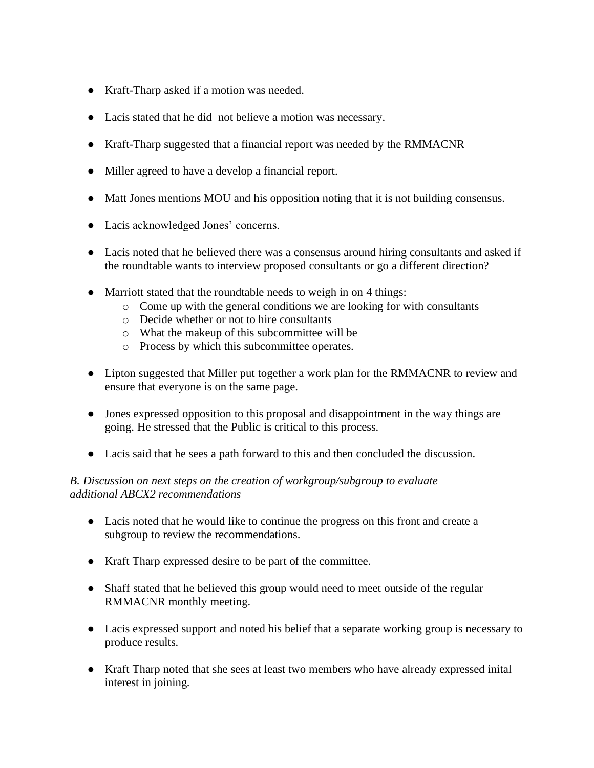- Kraft-Tharp asked if a motion was needed.
- Lacis stated that he did not believe a motion was necessary.
- Kraft-Tharp suggested that a financial report was needed by the RMMACNR
- Miller agreed to have a develop a financial report.
- Matt Jones mentions MOU and his opposition noting that it is not building consensus.
- Lacis acknowledged Jones' concerns.
- Lacis noted that he believed there was a consensus around hiring consultants and asked if the roundtable wants to interview proposed consultants or go a different direction?
- Marriott stated that the roundtable needs to weigh in on 4 things:
	- o Come up with the general conditions we are looking for with consultants
	- o Decide whether or not to hire consultants
	- o What the makeup of this subcommittee will be
	- o Process by which this subcommittee operates.
- Lipton suggested that Miller put together a work plan for the RMMACNR to review and ensure that everyone is on the same page.
- Jones expressed opposition to this proposal and disappointment in the way things are going. He stressed that the Public is critical to this process.
- Lacis said that he sees a path forward to this and then concluded the discussion.

#### *B. Discussion on next steps on the creation of workgroup/subgroup to evaluate additional ABCX2 recommendations*

- Lacis noted that he would like to continue the progress on this front and create a subgroup to review the recommendations.
- Kraft Tharp expressed desire to be part of the committee.
- Shaff stated that he believed this group would need to meet outside of the regular RMMACNR monthly meeting.
- Lacis expressed support and noted his belief that a separate working group is necessary to produce results.
- Kraft Tharp noted that she sees at least two members who have already expressed inital interest in joining.